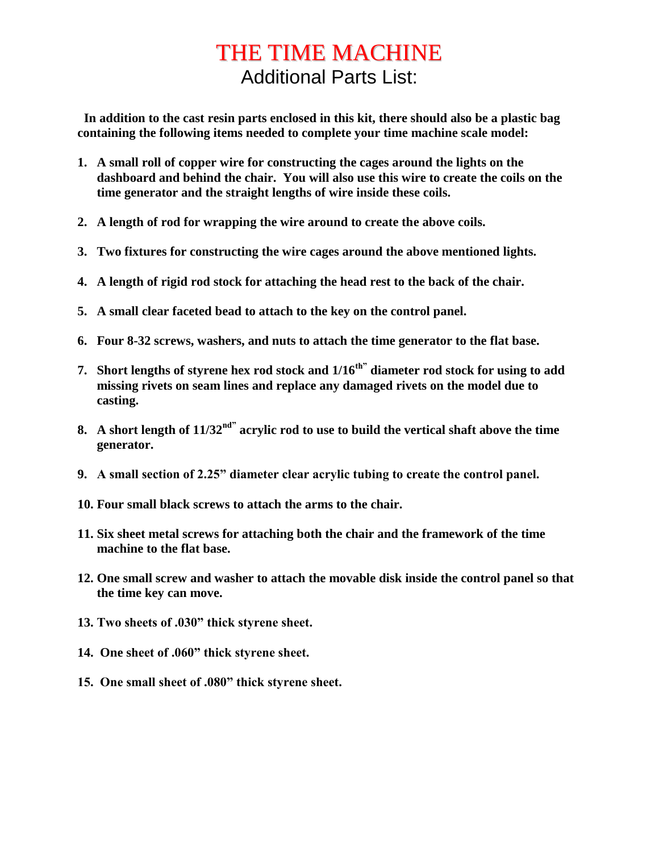# THE TIME MACHINE Additional Parts List:

 **In addition to the cast resin parts enclosed in this kit, there should also be a plastic bag containing the following items needed to complete your time machine scale model:**

- **1. A small roll of copper wire for constructing the cages around the lights on the dashboard and behind the chair. You will also use this wire to create the coils on the time generator and the straight lengths of wire inside these coils.**
- **2. A length of rod for wrapping the wire around to create the above coils.**
- **3. Two fixtures for constructing the wire cages around the above mentioned lights.**
- **4. A length of rigid rod stock for attaching the head rest to the back of the chair.**
- **5. A small clear faceted bead to attach to the key on the control panel.**
- **6. Four 8-32 screws, washers, and nuts to attach the time generator to the flat base.**
- **7. Short lengths of styrene hex rod stock and 1/16th" diameter rod stock for using to add missing rivets on seam lines and replace any damaged rivets on the model due to casting.**
- **8. A short length of 11/32nd" acrylic rod to use to build the vertical shaft above the time generator.**
- **9. A small section of 2.25" diameter clear acrylic tubing to create the control panel.**
- **10. Four small black screws to attach the arms to the chair.**
- **11. Six sheet metal screws for attaching both the chair and the framework of the time machine to the flat base.**
- **12. One small screw and washer to attach the movable disk inside the control panel so that the time key can move.**
- **13. Two sheets of .030" thick styrene sheet.**
- **14. One sheet of .060" thick styrene sheet.**
- **15. One small sheet of .080" thick styrene sheet.**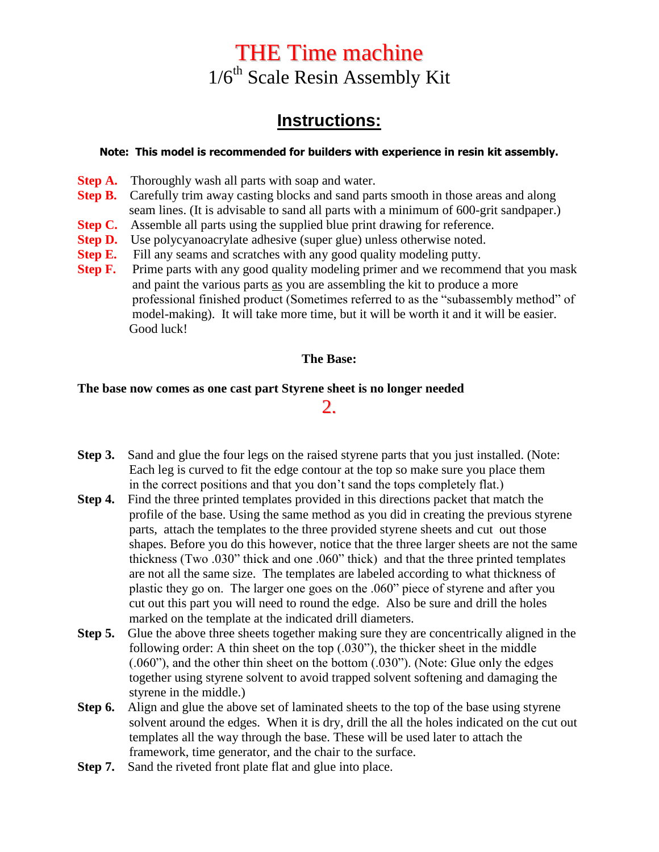# THE Time machine  $1/6<sup>th</sup>$  Scale Resin Assembly Kit

# **Instructions:**

#### **Note: This model is recommended for builders with experience in resin kit assembly.**

- **Step A.** Thoroughly wash all parts with soap and water.
- **Step B.** Carefully trim away casting blocks and sand parts smooth in those areas and along seam lines. (It is advisable to sand all parts with a minimum of 600-grit sandpaper.)
- **Step C.** Assemble all parts using the supplied blue print drawing for reference.
- **Step D.** Use polycyanoacrylate adhesive (super glue) unless otherwise noted.
- **Step E.** Fill any seams and scratches with any good quality modeling putty.
- **Step F.** Prime parts with any good quality modeling primer and we recommend that you mask and paint the various parts as you are assembling the kit to produce a more professional finished product (Sometimes referred to as the "subassembly method" of model-making). It will take more time, but it will be worth it and it will be easier. Good luck!

#### **The Base:**

#### **The base now comes as one cast part Styrene sheet is no longer needed**

### 2.

- **Step 3.** Sand and glue the four legs on the raised styrene parts that you just installed. (Note: Each leg is curved to fit the edge contour at the top so make sure you place them in the correct positions and that you don't sand the tops completely flat.)
- **Step 4.** Find the three printed templates provided in this directions packet that match the profile of the base. Using the same method as you did in creating the previous styrene parts, attach the templates to the three provided styrene sheets and cut out those shapes. Before you do this however, notice that the three larger sheets are not the same thickness (Two .030" thick and one .060" thick) and that the three printed templates are not all the same size. The templates are labeled according to what thickness of plastic they go on. The larger one goes on the .060" piece of styrene and after you cut out this part you will need to round the edge. Also be sure and drill the holes marked on the template at the indicated drill diameters.
- **Step 5.** Glue the above three sheets together making sure they are concentrically aligned in the following order: A thin sheet on the top (.030"), the thicker sheet in the middle (.060"), and the other thin sheet on the bottom (.030"). (Note: Glue only the edges together using styrene solvent to avoid trapped solvent softening and damaging the styrene in the middle.)
- **Step 6.** Align and glue the above set of laminated sheets to the top of the base using styrene solvent around the edges. When it is dry, drill the all the holes indicated on the cut out templates all the way through the base. These will be used later to attach the framework, time generator, and the chair to the surface.
- **Step 7.** Sand the riveted front plate flat and glue into place.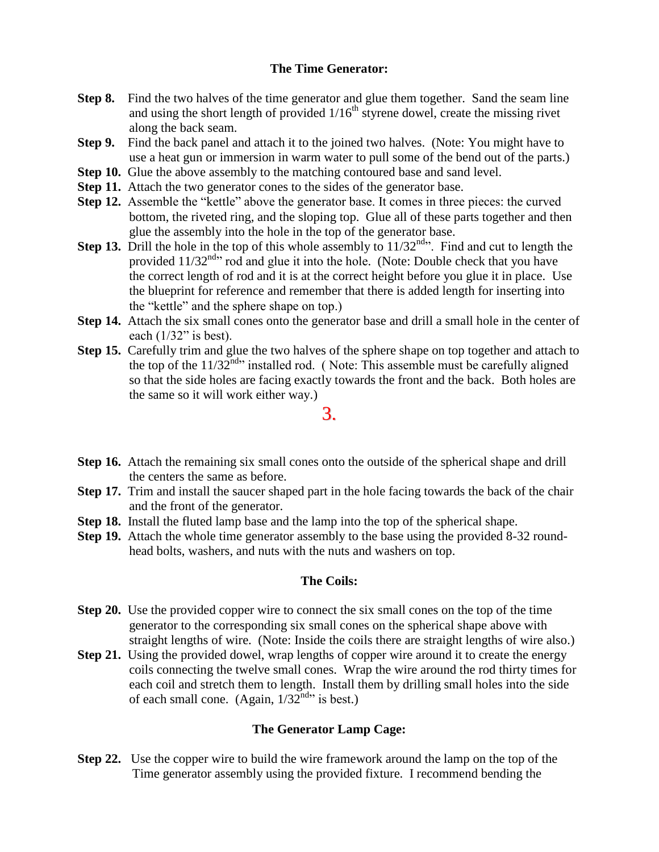#### **The Time Generator:**

- **Step 8.** Find the two halves of the time generator and glue them together. Sand the seam line and using the short length of provided  $1/16<sup>th</sup>$  styrene dowel, create the missing rivet along the back seam.
- **Step 9.** Find the back panel and attach it to the joined two halves. (Note: You might have to use a heat gun or immersion in warm water to pull some of the bend out of the parts.)
- **Step 10.** Glue the above assembly to the matching contoured base and sand level.
- **Step 11.** Attach the two generator cones to the sides of the generator base.
- **Step 12.** Assemble the "kettle" above the generator base. It comes in three pieces: the curved bottom, the riveted ring, and the sloping top. Glue all of these parts together and then glue the assembly into the hole in the top of the generator base.
- **Step 13.** Drill the hole in the top of this whole assembly to  $11/32<sup>nd</sup>$ . Find and cut to length the provided 11/32<sup>nd</sup>" rod and glue it into the hole. (Note: Double check that you have the correct length of rod and it is at the correct height before you glue it in place. Use the blueprint for reference and remember that there is added length for inserting into the "kettle" and the sphere shape on top.)
- **Step 14.** Attach the six small cones onto the generator base and drill a small hole in the center of each  $(1/32)$ " is best).
- **Step 15.** Carefully trim and glue the two halves of the sphere shape on top together and attach to the top of the  $11/32^{nd}$  installed rod. (Note: This assemble must be carefully aligned so that the side holes are facing exactly towards the front and the back. Both holes are the same so it will work either way.)

3.

- **Step 16.** Attach the remaining six small cones onto the outside of the spherical shape and drill the centers the same as before.
- **Step 17.** Trim and install the saucer shaped part in the hole facing towards the back of the chair and the front of the generator.
- **Step 18.** Install the fluted lamp base and the lamp into the top of the spherical shape.
- **Step 19.** Attach the whole time generator assembly to the base using the provided 8-32 roundhead bolts, washers, and nuts with the nuts and washers on top.

#### **The Coils:**

- **Step 20.** Use the provided copper wire to connect the six small cones on the top of the time generator to the corresponding six small cones on the spherical shape above with straight lengths of wire. (Note: Inside the coils there are straight lengths of wire also.)
- **Step 21.** Using the provided dowel, wrap lengths of copper wire around it to create the energy coils connecting the twelve small cones. Wrap the wire around the rod thirty times for each coil and stretch them to length. Install them by drilling small holes into the side of each small cone. (Again,  $1/32^{nd}$  is best.)

#### **The Generator Lamp Cage:**

**Step 22.** Use the copper wire to build the wire framework around the lamp on the top of the Time generator assembly using the provided fixture. I recommend bending the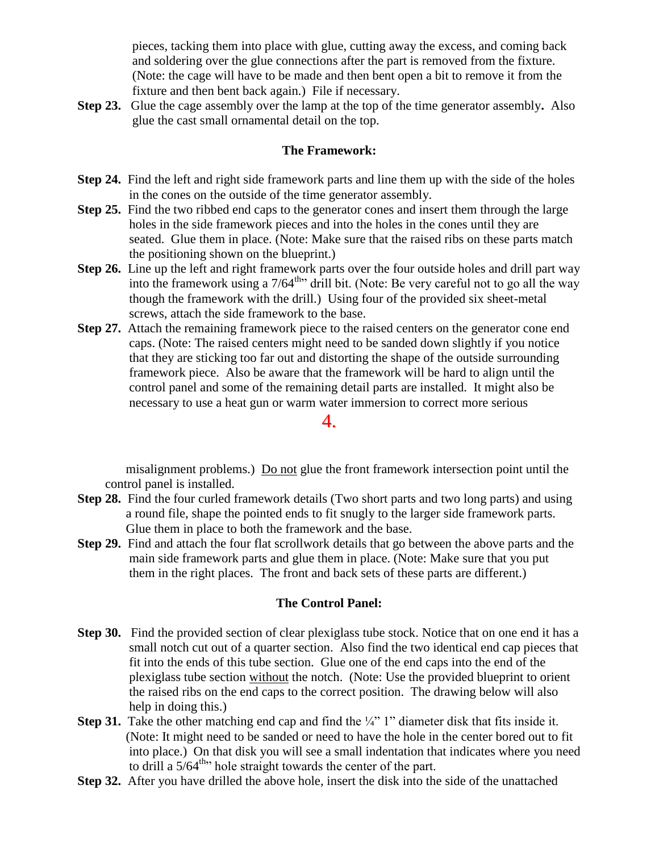pieces, tacking them into place with glue, cutting away the excess, and coming back and soldering over the glue connections after the part is removed from the fixture. (Note: the cage will have to be made and then bent open a bit to remove it from the fixture and then bent back again.) File if necessary.

**Step 23.** Glue the cage assembly over the lamp at the top of the time generator assembly**.** Also glue the cast small ornamental detail on the top.

#### **The Framework:**

- **Step 24.** Find the left and right side framework parts and line them up with the side of the holes in the cones on the outside of the time generator assembly.
- **Step 25.** Find the two ribbed end caps to the generator cones and insert them through the large holes in the side framework pieces and into the holes in the cones until they are seated. Glue them in place. (Note: Make sure that the raised ribs on these parts match the positioning shown on the blueprint.)
- **Step 26.** Line up the left and right framework parts over the four outside holes and drill part way into the framework using a  $7/64^{\text{th}}$  drill bit. (Note: Be very careful not to go all the way though the framework with the drill.) Using four of the provided six sheet-metal screws, attach the side framework to the base.
- **Step 27.** Attach the remaining framework piece to the raised centers on the generator cone end caps. (Note: The raised centers might need to be sanded down slightly if you notice that they are sticking too far out and distorting the shape of the outside surrounding framework piece. Also be aware that the framework will be hard to align until the control panel and some of the remaining detail parts are installed. It might also be necessary to use a heat gun or warm water immersion to correct more serious

#### 4.

 misalignment problems.) Do not glue the front framework intersection point until the control panel is installed.

- **Step 28.** Find the four curled framework details (Two short parts and two long parts) and using a round file, shape the pointed ends to fit snugly to the larger side framework parts. Glue them in place to both the framework and the base.
- **Step 29.** Find and attach the four flat scrollwork details that go between the above parts and the main side framework parts and glue them in place. (Note: Make sure that you put them in the right places. The front and back sets of these parts are different.)

#### **The Control Panel:**

- **Step 30.** Find the provided section of clear plexiglass tube stock. Notice that on one end it has a small notch cut out of a quarter section. Also find the two identical end cap pieces that fit into the ends of this tube section. Glue one of the end caps into the end of the plexiglass tube section without the notch. (Note: Use the provided blueprint to orient the raised ribs on the end caps to the correct position. The drawing below will also help in doing this.)
- **Step 31.** Take the other matching end cap and find the ¼" 1" diameter disk that fits inside it. (Note: It might need to be sanded or need to have the hole in the center bored out to fit into place.) On that disk you will see a small indentation that indicates where you need to drill a  $5/64^{\text{th}}$  hole straight towards the center of the part.
- **Step 32.** After you have drilled the above hole, insert the disk into the side of the unattached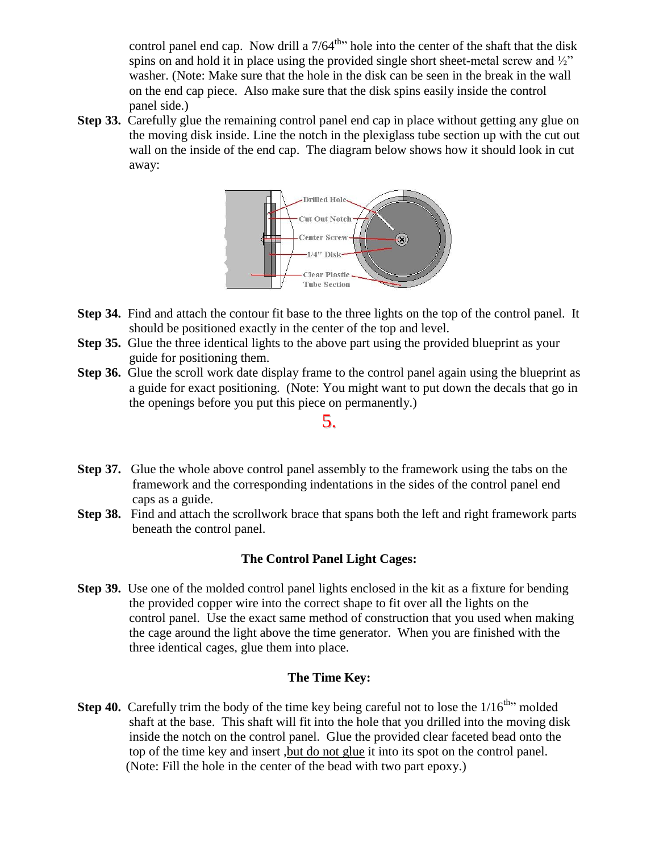control panel end cap. Now drill a  $7/64^{\text{th}}$  hole into the center of the shaft that the disk spins on and hold it in place using the provided single short sheet-metal screw and  $\frac{1}{2}$ " washer. (Note: Make sure that the hole in the disk can be seen in the break in the wall on the end cap piece. Also make sure that the disk spins easily inside the control panel side.)

**Step 33.** Carefully glue the remaining control panel end cap in place without getting any glue on the moving disk inside. Line the notch in the plexiglass tube section up with the cut out wall on the inside of the end cap. The diagram below shows how it should look in cut away:



- **Step 34.** Find and attach the contour fit base to the three lights on the top of the control panel. It should be positioned exactly in the center of the top and level.
- **Step 35.** Glue the three identical lights to the above part using the provided blueprint as your guide for positioning them.
- **Step 36.** Glue the scroll work date display frame to the control panel again using the blueprint as a guide for exact positioning. (Note: You might want to put down the decals that go in the openings before you put this piece on permanently.)

5.

- **Step 37.** Glue the whole above control panel assembly to the framework using the tabs on the framework and the corresponding indentations in the sides of the control panel end caps as a guide.
- **Step 38.** Find and attach the scrollwork brace that spans both the left and right framework parts beneath the control panel.

#### **The Control Panel Light Cages:**

**Step 39.** Use one of the molded control panel lights enclosed in the kit as a fixture for bending the provided copper wire into the correct shape to fit over all the lights on the control panel. Use the exact same method of construction that you used when making the cage around the light above the time generator. When you are finished with the three identical cages, glue them into place.

#### **The Time Key:**

**Step 40.** Carefully trim the body of the time key being careful not to lose the  $1/16^{th}$  molded shaft at the base. This shaft will fit into the hole that you drilled into the moving disk inside the notch on the control panel. Glue the provided clear faceted bead onto the top of the time key and insert ,but do not glue it into its spot on the control panel. (Note: Fill the hole in the center of the bead with two part epoxy.)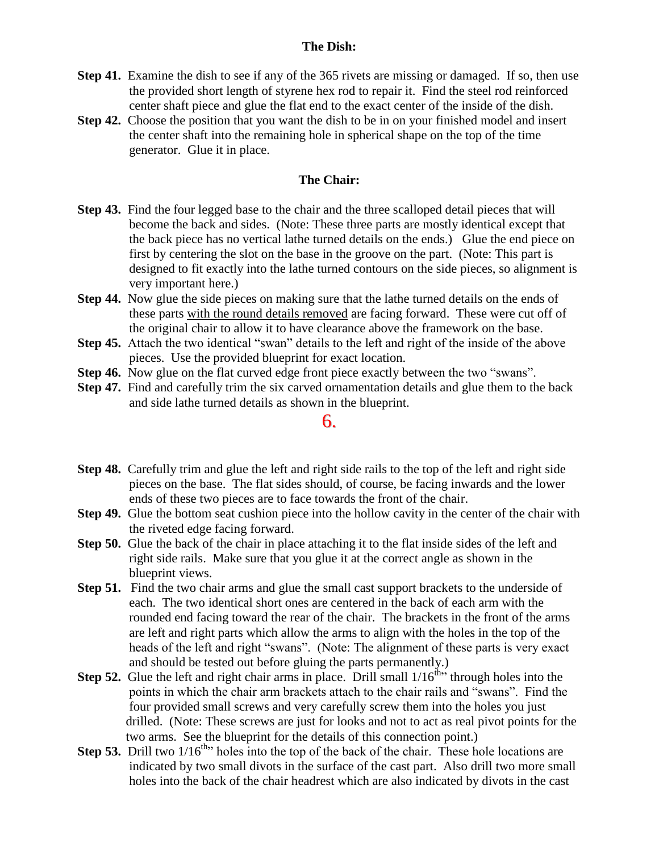#### **The Dish:**

- **Step 41.** Examine the dish to see if any of the 365 rivets are missing or damaged. If so, then use the provided short length of styrene hex rod to repair it. Find the steel rod reinforced center shaft piece and glue the flat end to the exact center of the inside of the dish.
- **Step 42.** Choose the position that you want the dish to be in on your finished model and insert the center shaft into the remaining hole in spherical shape on the top of the time generator. Glue it in place.

#### **The Chair:**

- **Step 43.** Find the four legged base to the chair and the three scalloped detail pieces that will become the back and sides. (Note: These three parts are mostly identical except that the back piece has no vertical lathe turned details on the ends.) Glue the end piece on first by centering the slot on the base in the groove on the part. (Note: This part is designed to fit exactly into the lathe turned contours on the side pieces, so alignment is very important here.)
- **Step 44.** Now glue the side pieces on making sure that the lathe turned details on the ends of these parts with the round details removed are facing forward. These were cut off of the original chair to allow it to have clearance above the framework on the base.
- **Step 45.** Attach the two identical "swan" details to the left and right of the inside of the above pieces. Use the provided blueprint for exact location.
- **Step 46.** Now glue on the flat curved edge front piece exactly between the two "swans".
- **Step 47.** Find and carefully trim the six carved ornamentation details and glue them to the back and side lathe turned details as shown in the blueprint.

#### 6.

- **Step 48.** Carefully trim and glue the left and right side rails to the top of the left and right side pieces on the base. The flat sides should, of course, be facing inwards and the lower ends of these two pieces are to face towards the front of the chair.
- **Step 49.** Glue the bottom seat cushion piece into the hollow cavity in the center of the chair with the riveted edge facing forward.
- **Step 50.** Glue the back of the chair in place attaching it to the flat inside sides of the left and right side rails. Make sure that you glue it at the correct angle as shown in the blueprint views.
- **Step 51.** Find the two chair arms and glue the small cast support brackets to the underside of each. The two identical short ones are centered in the back of each arm with the rounded end facing toward the rear of the chair. The brackets in the front of the arms are left and right parts which allow the arms to align with the holes in the top of the heads of the left and right "swans". (Note: The alignment of these parts is very exact and should be tested out before gluing the parts permanently.)
- **Step 52.** Glue the left and right chair arms in place. Drill small  $1/16<sup>th</sup>$  through holes into the points in which the chair arm brackets attach to the chair rails and "swans". Find the four provided small screws and very carefully screw them into the holes you just drilled. (Note: These screws are just for looks and not to act as real pivot points for the two arms. See the blueprint for the details of this connection point.)
- **Step 53.** Drill two  $1/16^{th}$  holes into the top of the back of the chair. These hole locations are indicated by two small divots in the surface of the cast part. Also drill two more small holes into the back of the chair headrest which are also indicated by divots in the cast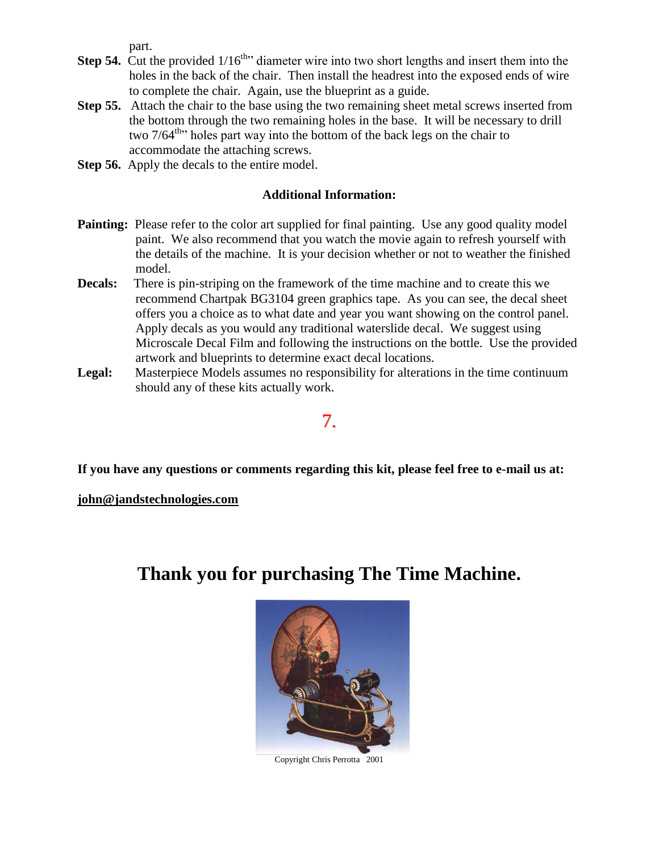part.

- **Step 54.** Cut the provided  $1/16^{\text{th}}$  diameter wire into two short lengths and insert them into the holes in the back of the chair. Then install the headrest into the exposed ends of wire to complete the chair. Again, use the blueprint as a guide.
- **Step 55.** Attach the chair to the base using the two remaining sheet metal screws inserted from the bottom through the two remaining holes in the base. It will be necessary to drill two  $7/64^{\text{th}}$  holes part way into the bottom of the back legs on the chair to accommodate the attaching screws.
- **Step 56.** Apply the decals to the entire model.

#### **Additional Information:**

- **Painting:** Please refer to the color art supplied for final painting. Use any good quality model paint. We also recommend that you watch the movie again to refresh yourself with the details of the machine. It is your decision whether or not to weather the finished model.
- **Decals:** There is pin-striping on the framework of the time machine and to create this we recommend Chartpak BG3104 green graphics tape. As you can see, the decal sheet offers you a choice as to what date and year you want showing on the control panel. Apply decals as you would any traditional waterslide decal. We suggest using Microscale Decal Film and following the instructions on the bottle. Use the provided artwork and blueprints to determine exact decal locations.
- Legal: Masterpiece Models assumes no responsibility for alterations in the time continuum should any of these kits actually work.

### 7.

**If you have any questions or comments regarding this kit, please feel free to e-mail us at:**

**john@jandstechnologies.com**

## **Thank you for purchasing The Time Machine.**



Copyright Chris Perrotta 2001